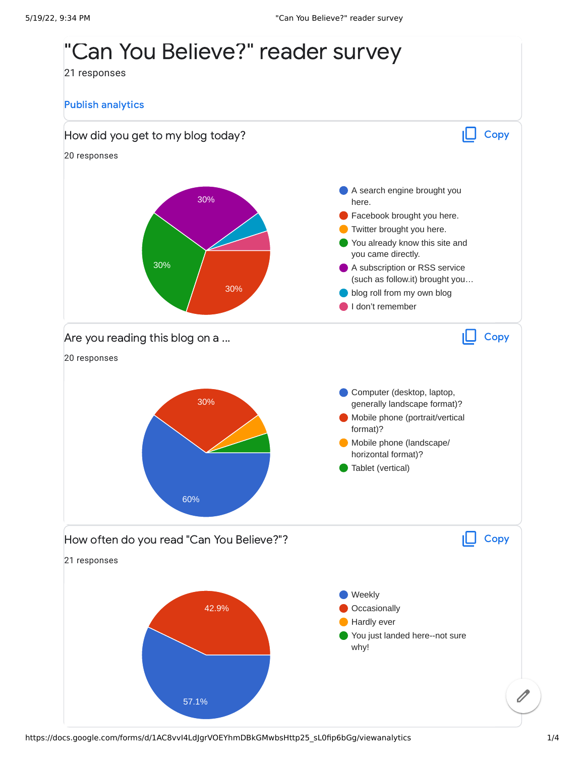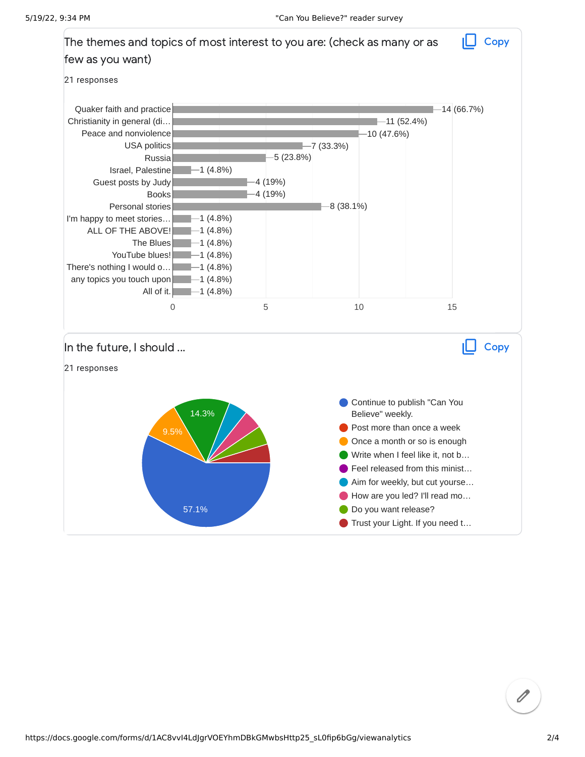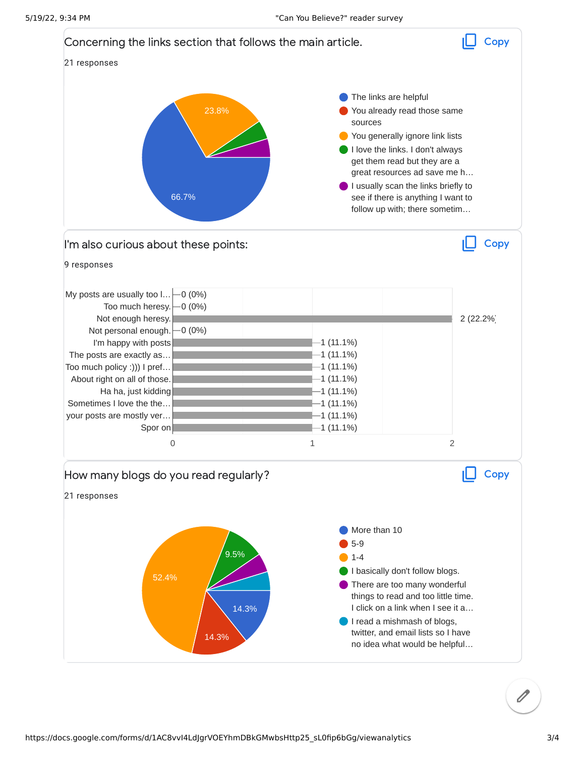